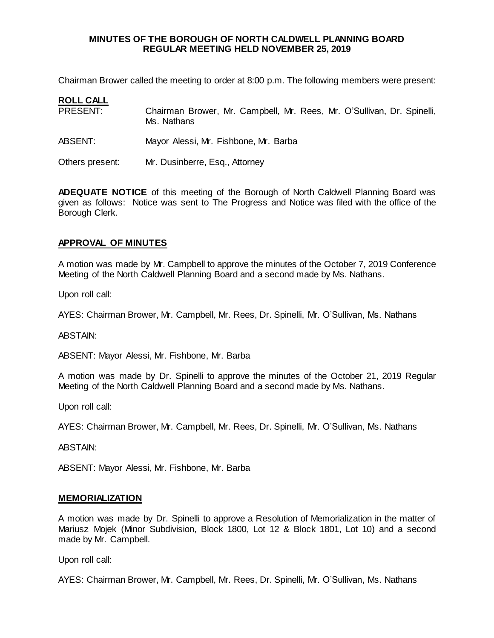#### **MINUTES OF THE BOROUGH OF NORTH CALDWELL PLANNING BOARD REGULAR MEETING HELD NOVEMBER 25, 2019**

Chairman Brower called the meeting to order at 8:00 p.m. The following members were present:

| <b>ROLL CALL</b> |                                                                                       |
|------------------|---------------------------------------------------------------------------------------|
| PRESENT:         | Chairman Brower, Mr. Campbell, Mr. Rees, Mr. O'Sullivan, Dr. Spinelli,<br>Ms. Nathans |
| ABSENT:          | Mayor Alessi, Mr. Fishbone, Mr. Barba                                                 |
| Others present:  | Mr. Dusinberre, Esq., Attorney                                                        |

**ADEQUATE NOTICE** of this meeting of the Borough of North Caldwell Planning Board was given as follows: Notice was sent to The Progress and Notice was filed with the office of the Borough Clerk.

### **APPROVAL OF MINUTES**

A motion was made by Mr. Campbell to approve the minutes of the October 7, 2019 Conference Meeting of the North Caldwell Planning Board and a second made by Ms. Nathans.

Upon roll call:

AYES: Chairman Brower, Mr. Campbell, Mr. Rees, Dr. Spinelli, Mr. O'Sullivan, Ms. Nathans

ABSTAIN:

ABSENT: Mayor Alessi, Mr. Fishbone, Mr. Barba

A motion was made by Dr. Spinelli to approve the minutes of the October 21, 2019 Regular Meeting of the North Caldwell Planning Board and a second made by Ms. Nathans.

Upon roll call:

AYES: Chairman Brower, Mr. Campbell, Mr. Rees, Dr. Spinelli, Mr. O'Sullivan, Ms. Nathans

ABSTAIN:

ABSENT: Mayor Alessi, Mr. Fishbone, Mr. Barba

#### **MEMORIALIZATION**

A motion was made by Dr. Spinelli to approve a Resolution of Memorialization in the matter of Mariusz Mojek (Minor Subdivision, Block 1800, Lot 12 & Block 1801, Lot 10) and a second made by Mr. Campbell.

Upon roll call:

AYES: Chairman Brower, Mr. Campbell, Mr. Rees, Dr. Spinelli, Mr. O'Sullivan, Ms. Nathans